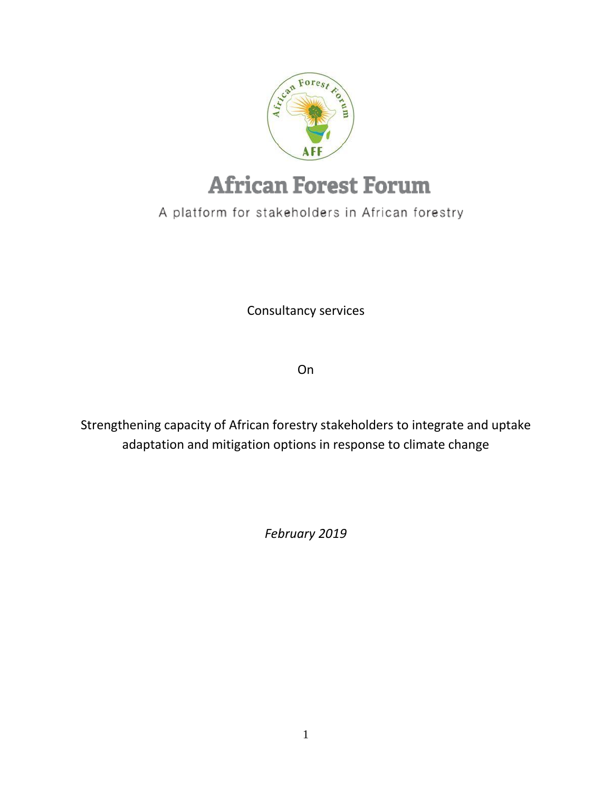

# **African Forest Forum**

A platform for stakeholders in African forestry

Consultancy services

On

Strengthening capacity of African forestry stakeholders to integrate and uptake adaptation and mitigation options in response to climate change

*February 2019*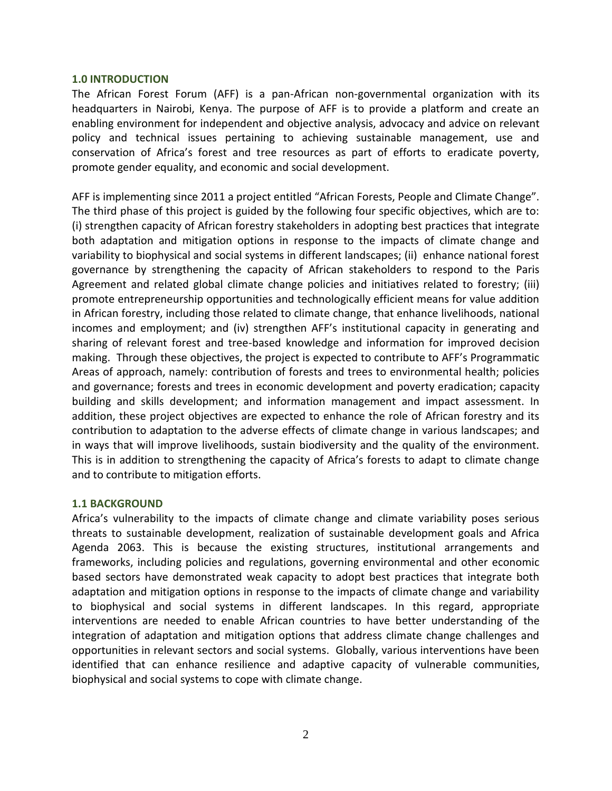#### **1.0 INTRODUCTION**

The African Forest Forum (AFF) is a pan-African non-governmental organization with its headquarters in Nairobi, Kenya. The purpose of AFF is to provide a platform and create an enabling environment for independent and objective analysis, advocacy and advice on relevant policy and technical issues pertaining to achieving sustainable management, use and conservation of Africa's forest and tree resources as part of efforts to eradicate poverty, promote gender equality, and economic and social development.

AFF is implementing since 2011 a project entitled "African Forests, People and Climate Change". The third phase of this project is guided by the following four specific objectives, which are to: (i) strengthen capacity of African forestry stakeholders in adopting best practices that integrate both adaptation and mitigation options in response to the impacts of climate change and variability to biophysical and social systems in different landscapes; (ii) enhance national forest governance by strengthening the capacity of African stakeholders to respond to the Paris Agreement and related global climate change policies and initiatives related to forestry; (iii) promote entrepreneurship opportunities and technologically efficient means for value addition in African forestry, including those related to climate change, that enhance livelihoods, national incomes and employment; and (iv) strengthen AFF's institutional capacity in generating and sharing of relevant forest and tree-based knowledge and information for improved decision making. Through these objectives, the project is expected to contribute to AFF's Programmatic Areas of approach, namely: contribution of forests and trees to environmental health; policies and governance; forests and trees in economic development and poverty eradication; capacity building and skills development; and information management and impact assessment. In addition, these project objectives are expected to enhance the role of African forestry and its contribution to adaptation to the adverse effects of climate change in various landscapes; and in ways that will improve livelihoods, sustain biodiversity and the quality of the environment. This is in addition to strengthening the capacity of Africa's forests to adapt to climate change and to contribute to mitigation efforts.

#### **1.1 BACKGROUND**

Africa's vulnerability to the impacts of climate change and climate variability poses serious threats to sustainable development, realization of sustainable development goals and Africa Agenda 2063. This is because the existing structures, institutional arrangements and frameworks, including policies and regulations, governing environmental and other economic based sectors have demonstrated weak capacity to adopt best practices that integrate both adaptation and mitigation options in response to the impacts of climate change and variability to biophysical and social systems in different landscapes. In this regard, appropriate interventions are needed to enable African countries to have better understanding of the integration of adaptation and mitigation options that address climate change challenges and opportunities in relevant sectors and social systems. Globally, various interventions have been identified that can enhance resilience and adaptive capacity of vulnerable communities, biophysical and social systems to cope with climate change.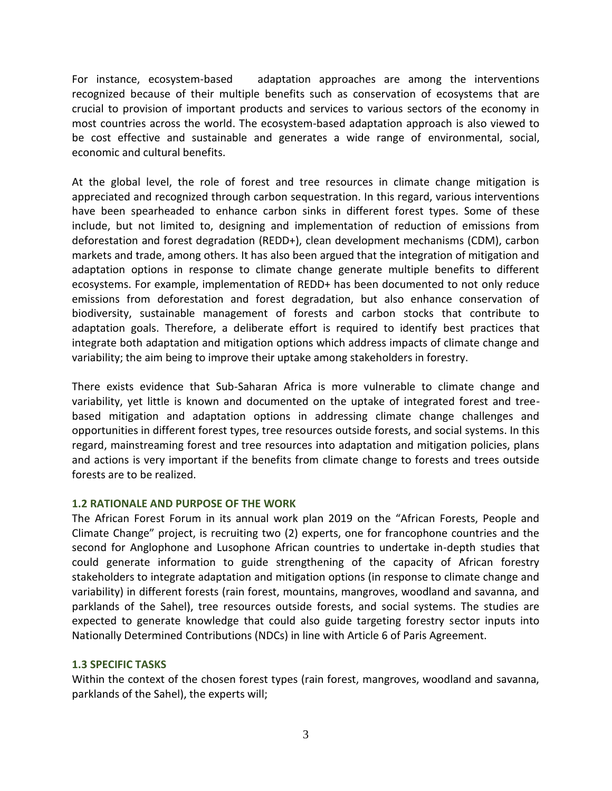For instance, ecosystem-based adaptation approaches are among the interventions recognized because of their multiple benefits such as conservation of ecosystems that are crucial to provision of important products and services to various sectors of the economy in most countries across the world. The ecosystem-based adaptation approach is also viewed to be cost effective and sustainable and generates a wide range of environmental, social, economic and cultural benefits.

At the global level, the role of forest and tree resources in climate change mitigation is appreciated and recognized through carbon sequestration. In this regard, various interventions have been spearheaded to enhance carbon sinks in different forest types. Some of these include, but not limited to, designing and implementation of reduction of emissions from deforestation and forest degradation (REDD+), clean development mechanisms (CDM), carbon markets and trade, among others. It has also been argued that the integration of mitigation and adaptation options in response to climate change generate multiple benefits to different ecosystems. For example, implementation of REDD+ has been documented to not only reduce emissions from deforestation and forest degradation, but also enhance conservation of biodiversity, sustainable management of forests and carbon stocks that contribute to adaptation goals. Therefore, a deliberate effort is required to identify best practices that integrate both adaptation and mitigation options which address impacts of climate change and variability; the aim being to improve their uptake among stakeholders in forestry.

There exists evidence that Sub-Saharan Africa is more vulnerable to climate change and variability, yet little is known and documented on the uptake of integrated forest and treebased mitigation and adaptation options in addressing climate change challenges and opportunities in different forest types, tree resources outside forests, and social systems. In this regard, mainstreaming forest and tree resources into adaptation and mitigation policies, plans and actions is very important if the benefits from climate change to forests and trees outside forests are to be realized.

## **1.2 RATIONALE AND PURPOSE OF THE WORK**

The African Forest Forum in its annual work plan 2019 on the "African Forests, People and Climate Change" project, is recruiting two (2) experts, one for francophone countries and the second for Anglophone and Lusophone African countries to undertake in-depth studies that could generate information to guide strengthening of the capacity of African forestry stakeholders to integrate adaptation and mitigation options (in response to climate change and variability) in different forests (rain forest, mountains, mangroves, woodland and savanna, and parklands of the Sahel), tree resources outside forests, and social systems. The studies are expected to generate knowledge that could also guide targeting forestry sector inputs into Nationally Determined Contributions (NDCs) in line with Article 6 of Paris Agreement.

## **1.3 SPECIFIC TASKS**

Within the context of the chosen forest types (rain forest, mangroves, woodland and savanna, parklands of the Sahel), the experts will;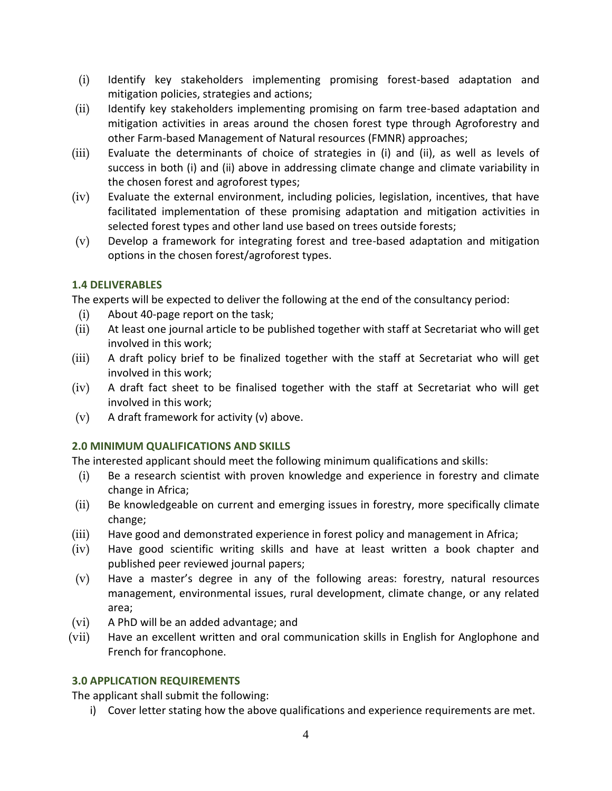- (i) Identify key stakeholders implementing promising forest-based adaptation and mitigation policies, strategies and actions;
- (ii) Identify key stakeholders implementing promising on farm tree-based adaptation and mitigation activities in areas around the chosen forest type through Agroforestry and other Farm-based Management of Natural resources (FMNR) approaches;
- (iii) Evaluate the determinants of choice of strategies in (i) and (ii), as well as levels of success in both (i) and (ii) above in addressing climate change and climate variability in the chosen forest and agroforest types;
- (iv) Evaluate the external environment, including policies, legislation, incentives, that have facilitated implementation of these promising adaptation and mitigation activities in selected forest types and other land use based on trees outside forests;
- (v) Develop a framework for integrating forest and tree-based adaptation and mitigation options in the chosen forest/agroforest types.

## **1.4 DELIVERABLES**

The experts will be expected to deliver the following at the end of the consultancy period:

- (i) About 40-page report on the task;
- (ii) At least one journal article to be published together with staff at Secretariat who will get involved in this work;
- (iii) A draft policy brief to be finalized together with the staff at Secretariat who will get involved in this work;
- (iv) A draft fact sheet to be finalised together with the staff at Secretariat who will get involved in this work;
- (v) A draft framework for activity (v) above.

## **2.0 MINIMUM QUALIFICATIONS AND SKILLS**

The interested applicant should meet the following minimum qualifications and skills:

- (i) Be a research scientist with proven knowledge and experience in forestry and climate change in Africa;
- (ii) Be knowledgeable on current and emerging issues in forestry, more specifically climate change;
- (iii) Have good and demonstrated experience in forest policy and management in Africa;
- (iv) Have good scientific writing skills and have at least written a book chapter and published peer reviewed journal papers;
- (v) Have a master's degree in any of the following areas: forestry, natural resources management, environmental issues, rural development, climate change, or any related area;
- (vi) A PhD will be an added advantage; and
- (vii) Have an excellent written and oral communication skills in English for Anglophone and French for francophone.

# **3.0 APPLICATION REQUIREMENTS**

The applicant shall submit the following:

i) Cover letter stating how the above qualifications and experience requirements are met.